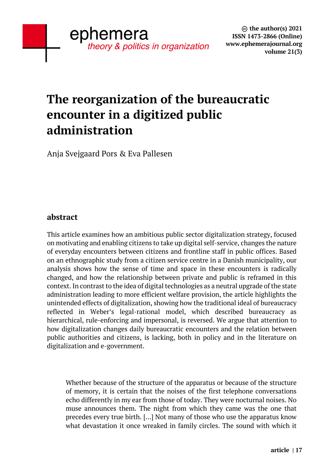# **The reorganization of the bureaucratic encounter in a digitized public administration**

Anja Svejgaard Pors & Eva Pallesen

# **abstract**

This article examines how an ambitious public sector digitalization strategy, focused on motivating and enabling citizens to take up digital self-service, changes the nature of everyday encounters between citizens and frontline staff in public offices. Based on an ethnographic study from a citizen service centre in a Danish municipality, our analysis shows how the sense of time and space in these encounters is radically changed, and how the relationship between private and public is reframed in this context. In contrast to the idea of digital technologies as a neutral upgrade of the state administration leading to more efficient welfare provision, the article highlights the unintended effects of digitalization, showing how the traditional ideal of bureaucracy reflected in Weber's legal-rational model, which described bureaucracy as hierarchical, rule-enforcing and impersonal, is reversed. We argue that attention to how digitalization changes daily bureaucratic encounters and the relation between public authorities and citizens, is lacking, both in policy and in the literature on digitalization and e-government.

Whether because of the structure of the apparatus or because of the structure of memory, it is certain that the noises of the first telephone conversations echo differently in my ear from those of today. They were nocturnal noises. No muse announces them. The night from which they came was the one that precedes every true birth. […] Not many of those who use the apparatus know what devastation it once wreaked in family circles. The sound with which it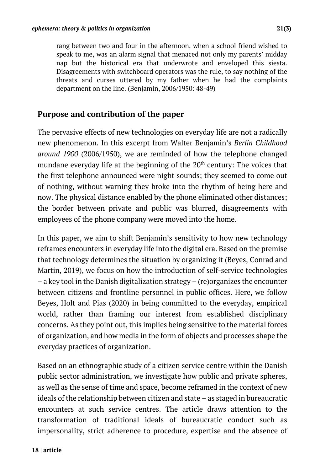rang between two and four in the afternoon, when a school friend wished to speak to me, was an alarm signal that menaced not only my parents' midday nap but the historical era that underwrote and enveloped this siesta. Disagreements with switchboard operators was the rule, to say nothing of the threats and curses uttered by my father when he had the complaints department on the line. (Benjamin, 2006/1950: 48-49)

## **Purpose and contribution of the paper**

The pervasive effects of new technologies on everyday life are not a radically new phenomenon. In this excerpt from Walter Benjamin's *Berlin Childhood around 1900* (2006/1950), we are reminded of how the telephone changed mundane everyday life at the beginning of the  $20<sup>th</sup>$  century: The voices that the first telephone announced were night sounds; they seemed to come out of nothing, without warning they broke into the rhythm of being here and now. The physical distance enabled by the phone eliminated other distances; the border between private and public was blurred, disagreements with employees of the phone company were moved into the home.

In this paper, we aim to shift Benjamin's sensitivity to how new technology reframes encounters in everyday life into the digital era. Based on the premise that technology determines the situation by organizing it (Beyes, Conrad and Martin, 2019), we focus on how the introduction of self-service technologies – a key tool in the Danish digitalization strategy – (re)organizes the encounter between citizens and frontline personnel in public offices. Here, we follow Beyes, Holt and Pias (2020) in being committed to the everyday, empirical world, rather than framing our interest from established disciplinary concerns. As they point out, this implies being sensitive to the material forces of organization, and how media in the form of objects and processes shape the everyday practices of organization.

Based on an ethnographic study of a citizen service centre within the Danish public sector administration, we investigate how public and private spheres, as well as the sense of time and space, become reframed in the context of new ideals of the relationship between citizen and state – as staged in bureaucratic encounters at such service centres. The article draws attention to the transformation of traditional ideals of bureaucratic conduct such as impersonality, strict adherence to procedure, expertise and the absence of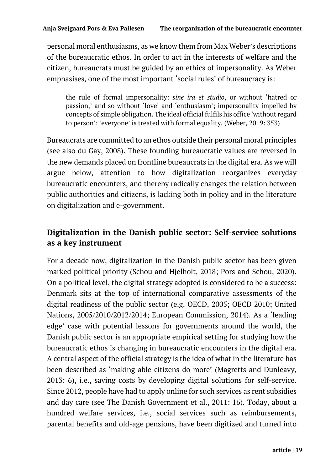personal moral enthusiasms, as we know them from Max Weber's descriptions of the bureaucratic ethos. In order to act in the interests of welfare and the citizen, bureaucrats must be guided by an ethics of impersonality. As Weber emphasises, one of the most important 'social rules' of bureaucracy is:

the rule of formal impersonality: *sine ira et studio*, or without 'hatred or passion,' and so without 'love' and 'enthusiasm'; impersonality impelled by concepts of simple obligation. The ideal official fulfils his office 'without regard to person': 'everyone' is treated with formal equality. (Weber, 2019: 353)

Bureaucrats are committed to an ethos outside their personal moral principles (see also du Gay, 2008). These founding bureaucratic values are reversed in the new demands placed on frontline bureaucrats in the digital era. As we will argue below, attention to how digitalization reorganizes everyday bureaucratic encounters, and thereby radically changes the relation between public authorities and citizens, is lacking both in policy and in the literature on digitalization and e-government.

# **Digitalization in the Danish public sector: Self-service solutions as a key instrument**

For a decade now, digitalization in the Danish public sector has been given marked political priority (Schou and Hjelholt, 2018; Pors and Schou, 2020). On a political level, the digital strategy adopted is considered to be a success: Denmark sits at the top of international comparative assessments of the digital readiness of the public sector (e.g. OECD, 2005; OECD 2010; United Nations, 2005/2010/2012/2014; European Commission, 2014). As a 'leading edge' case with potential lessons for governments around the world, the Danish public sector is an appropriate empirical setting for studying how the bureaucratic ethos is changing in bureaucratic encounters in the digital era. A central aspect of the official strategy is the idea of what in the literature has been described as 'making able citizens do more' (Magretts and Dunleavy, 2013: 6), i.e., saving costs by developing digital solutions for self-service. Since 2012, people have had to apply online for such services as rent subsidies and day care (see The Danish Government et al., 2011: 16). Today, about a hundred welfare services, i.e., social services such as reimbursements, parental benefits and old-age pensions, have been digitized and turned into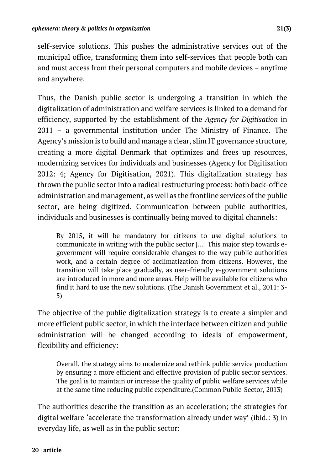self-service solutions. This pushes the administrative services out of the municipal office, transforming them into self-services that people both can and must access from their personal computers and mobile devices – anytime and anywhere.

Thus, the Danish public sector is undergoing a transition in which the digitalization of administration and welfare services is linked to a demand for efficiency, supported by the establishment of the *Agency for Digitisation* in 2011 – a governmental institution under The Ministry of Finance. The Agency's mission is to build and manage a clear, slim IT governance structure, creating a more digital Denmark that optimizes and frees up resources, modernizing services for individuals and businesses (Agency for Digitisation 2012: 4; Agency for Digitisation, 2021). This digitalization strategy has thrown the public sector into a radical restructuring process: both back-office administration and management, as well as the frontline services of the public sector, are being digitized. Communication between public authorities, individuals and businesses is continually being moved to digital channels:

By 2015, it will be mandatory for citizens to use digital solutions to communicate in writing with the public sector […] This major step towards egovernment will require considerable changes to the way public authorities work, and a certain degree of acclimatization from citizens. However, the transition will take place gradually, as user-friendly e-government solutions are introduced in more and more areas. Help will be available for citizens who find it hard to use the new solutions. (The Danish Government et al., 2011: 3- 5)

The objective of the public digitalization strategy is to create a simpler and more efficient public sector, in which the interface between citizen and public administration will be changed according to ideals of empowerment, flexibility and efficiency:

Overall, the strategy aims to modernize and rethink public service production by ensuring a more efficient and effective provision of public sector services. The goal is to maintain or increase the quality of public welfare services while at the same time reducing public expenditure.(Common Public-Sector, 2013)

The authorities describe the transition as an acceleration; the strategies for digital welfare 'accelerate the transformation already under way' (ibid.: 3) in everyday life, as well as in the public sector: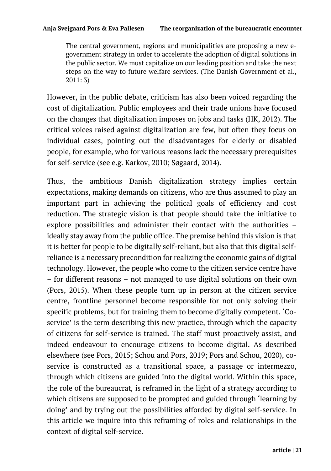The central government, regions and municipalities are proposing a new egovernment strategy in order to accelerate the adoption of digital solutions in the public sector. We must capitalize on our leading position and take the next steps on the way to future welfare services. (The Danish Government et al., 2011: 3)

However, in the public debate, criticism has also been voiced regarding the cost of digitalization. Public employees and their trade unions have focused on the changes that digitalization imposes on jobs and tasks (HK, 2012). The critical voices raised against digitalization are few, but often they focus on individual cases, pointing out the disadvantages for elderly or disabled people, for example, who for various reasons lack the necessary prerequisites for self-service (see e.g. Karkov, 2010; Søgaard, 2014).

Thus, the ambitious Danish digitalization strategy implies certain expectations, making demands on citizens, who are thus assumed to play an important part in achieving the political goals of efficiency and cost reduction. The strategic vision is that people should take the initiative to explore possibilities and administer their contact with the authorities – ideally stay away from the public office. The premise behind this vision is that it is better for people to be digitally self-reliant, but also that this digital selfreliance is a necessary precondition for realizing the economic gains of digital technology. However, the people who come to the citizen service centre have – for different reasons – not managed to use digital solutions on their own (Pors, 2015). When these people turn up in person at the citizen service centre, frontline personnel become responsible for not only solving their specific problems, but for training them to become digitally competent. 'Coservice' is the term describing this new practice, through which the capacity of citizens for self-service is trained. The staff must proactively assist, and indeed endeavour to encourage citizens to become digital. As described elsewhere (see Pors, 2015; Schou and Pors, 2019; Pors and Schou, 2020), coservice is constructed as a transitional space, a passage or intermezzo, through which citizens are guided into the digital world. Within this space, the role of the bureaucrat*,* is reframed in the light of a strategy according to which citizens are supposed to be prompted and guided through 'learning by doing' and by trying out the possibilities afforded by digital self-service. In this article we inquire into this reframing of roles and relationships in the context of digital self-service.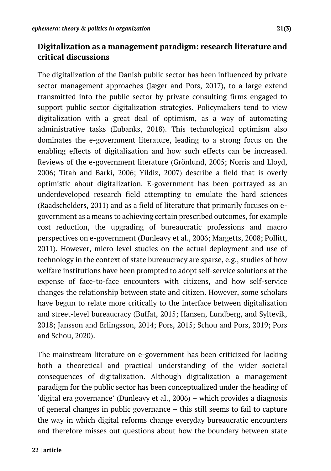# **Digitalization as a management paradigm: research literature and critical discussions**

The digitalization of the Danish public sector has been influenced by private sector management approaches (Jæger and Pors, 2017), to a large extend transmitted into the public sector by private consulting firms engaged to support public sector digitalization strategies. Policymakers tend to view digitalization with a great deal of optimism, as a way of automating administrative tasks (Eubanks, 2018). This technological optimism also dominates the e-government literature, leading to a strong focus on the enabling effects of digitalization and how such effects can be increased. Reviews of the e-government literature (Grönlund, 2005; Norris and Lloyd, 2006; Titah and Barki, 2006; Yildiz, 2007) describe a field that is overly optimistic about digitalization. E-government has been portrayed as an underdeveloped research field attempting to emulate the hard sciences (Raadschelders, 2011) and as a field of literature that primarily focuses on egovernment as a means to achieving certain prescribed outcomes, for example cost reduction, the upgrading of bureaucratic professions and macro perspectives on e-government (Dunleavy et al., 2006; Margetts, 2008; Pollitt, 2011). However, micro level studies on the actual deployment and use of technology in the context of state bureaucracy are sparse, e.g., studies of how welfare institutions have been prompted to adopt self-service solutions at the expense of face-to-face encounters with citizens, and how self-service changes the relationship between state and citizen. However, some scholars have begun to relate more critically to the interface between digitalization and street-level bureaucracy (Buffat, 2015; Hansen, Lundberg, and Syltevik, 2018; Jansson and Erlingsson, 2014; Pors, 2015; Schou and Pors, 2019; Pors and Schou, 2020).

The mainstream literature on e-government has been criticized for lacking both a theoretical and practical understanding of the wider societal consequences of digitalization. Although digitalization a management paradigm for the public sector has been conceptualized under the heading of 'digital era governance' (Dunleavy et al., 2006) – which provides a diagnosis of general changes in public governance – this still seems to fail to capture the way in which digital reforms change everyday bureaucratic encounters and therefore misses out questions about how the boundary between state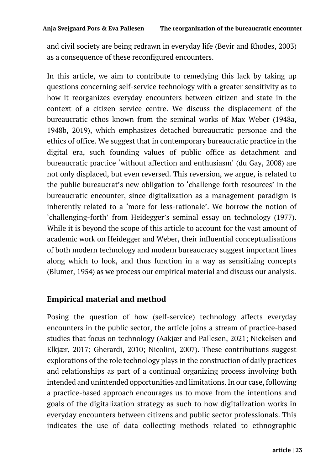and civil society are being redrawn in everyday life (Bevir and Rhodes, 2003) as a consequence of these reconfigured encounters.

In this article, we aim to contribute to remedying this lack by taking up questions concerning self-service technology with a greater sensitivity as to how it reorganizes everyday encounters between citizen and state in the context of a citizen service centre. We discuss the displacement of the bureaucratic ethos known from the seminal works of Max Weber (1948a, 1948b, 2019), which emphasizes detached bureaucratic personae and the ethics of office. We suggest that in contemporary bureaucratic practice in the digital era, such founding values of public office as detachment and bureaucratic practice 'without affection and enthusiasm' (du Gay, 2008) are not only displaced, but even reversed. This reversion, we argue, is related to the public bureaucrat's new obligation to 'challenge forth resources' in the bureaucratic encounter, since digitalization as a management paradigm is inherently related to a 'more for less-rationale'. We borrow the notion of 'challenging-forth' from Heidegger's seminal essay on technology (1977). While it is beyond the scope of this article to account for the vast amount of academic work on Heidegger and Weber, their influential conceptualisations of both modern technology and modern bureaucracy suggest important lines along which to look, and thus function in a way as sensitizing concepts (Blumer, 1954) as we process our empirical material and discuss our analysis.

# **Empirical material and method**

Posing the question of how (self-service) technology affects everyday encounters in the public sector, the article joins a stream of practice-based studies that focus on technology (Aakjær and Pallesen, 2021; Nickelsen and Elkjær, 2017; Gherardi, 2010; Nicolini, 2007). These contributions suggest explorations of the role technology plays in the construction of daily practices and relationships as part of a continual organizing process involving both intended and unintended opportunities and limitations. In our case, following a practice-based approach encourages us to move from the intentions and goals of the digitalization strategy as such to how digitalization works in everyday encounters between citizens and public sector professionals. This indicates the use of data collecting methods related to ethnographic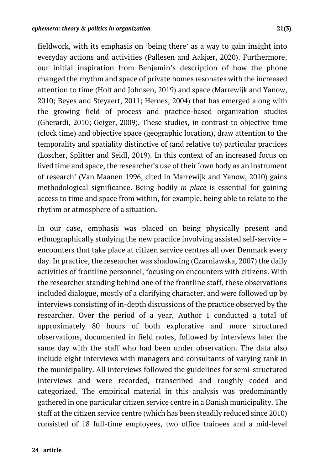fieldwork, with its emphasis on 'being there' as a way to gain insight into everyday actions and activities (Pallesen and Aakjær, 2020). Furthermore, our initial inspiration from Benjamin's description of how the phone changed the rhythm and space of private homes resonates with the increased attention to time (Holt and Johnsen, 2019) and space (Marrewijk and Yanow, 2010; Beyes and Steyaert, 2011; Hernes, 2004) that has emerged along with the growing field of process and practice-based organization studies (Gherardi, 2010; Geiger, 2009). These studies, in contrast to objective time (clock time) and objective space (geographic location), draw attention to the temporality and spatiality distinctive of (and relative to) particular practices (Loscher, Splitter and Seidl, 2019). In this context of an increased focus on lived time and space, the researcher's use of their 'own body as an instrument of research' (Van Maanen 1996, cited in Marrewijk and Yanow, 2010) gains methodological significance. Being bodily *in place* is essential for gaining access to time and space from within, for example, being able to relate to the rhythm or atmosphere of a situation.

In our case, emphasis was placed on being physically present and ethnographically studying the new practice involving assisted self-service – encounters that take place at citizen service centres all over Denmark every day. In practice, the researcher was shadowing (Czarniawska, 2007) the daily activities of frontline personnel, focusing on encounters with citizens. With the researcher standing behind one of the frontline staff, these observations included dialogue, mostly of a clarifying character, and were followed up by interviews consisting of in-depth discussions of the practice observed by the researcher. Over the period of a year, Author 1 conducted a total of approximately 80 hours of both explorative and more structured observations, documented in field notes, followed by interviews later the same day with the staff who had been under observation. The data also include eight interviews with managers and consultants of varying rank in the municipality. All interviews followed the guidelines for semi-structured interviews and were recorded, transcribed and roughly coded and categorized. The empirical material in this analysis was predominantly gathered in one particular citizen service centre in a Danish municipality. The staff at the citizen service centre (which has been steadily reduced since 2010) consisted of 18 full-time employees, two office trainees and a mid-level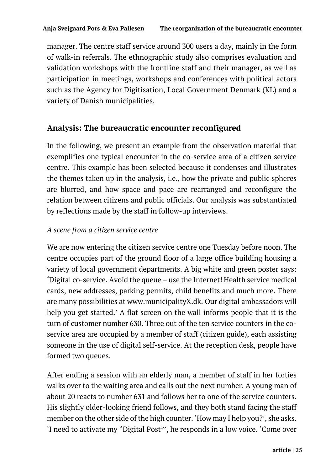manager. The centre staff service around 300 users a day, mainly in the form of walk-in referrals. The ethnographic study also comprises evaluation and validation workshops with the frontline staff and their manager, as well as participation in meetings, workshops and conferences with political actors such as the Agency for Digitisation, Local Government Denmark (KL) and a variety of Danish municipalities.

# **Analysis: The bureaucratic encounter reconfigured**

In the following, we present an example from the observation material that exemplifies one typical encounter in the co-service area of a citizen service centre. This example has been selected because it condenses and illustrates the themes taken up in the analysis, i.e., how the private and public spheres are blurred, and how space and pace are rearranged and reconfigure the relation between citizens and public officials. Our analysis was substantiated by reflections made by the staff in follow-up interviews.

#### *A scene from a citizen service centre*

We are now entering the citizen service centre one Tuesday before noon. The centre occupies part of the ground floor of a large office building housing a variety of local government departments. A big white and green poster says: 'Digital co-service. Avoid the queue – use the Internet! Health service medical cards, new addresses, parking permits, child benefits and much more. There are many possibilities at www.municipalityX.dk. Our digital ambassadors will help you get started.' A flat screen on the wall informs people that it is the turn of customer number 630. Three out of the ten service counters in the coservice area are occupied by a member of staff (citizen guide), each assisting someone in the use of digital self-service. At the reception desk, people have formed two queues.

After ending a session with an elderly man, a member of staff in her forties walks over to the waiting area and calls out the next number. A young man of about 20 reacts to number 631 and follows her to one of the service counters. His slightly older-looking friend follows, and they both stand facing the staff member on the other side of the high counter. 'How may I help you?', she asks. 'I need to activate my "Digital Post"', he responds in a low voice. 'Come over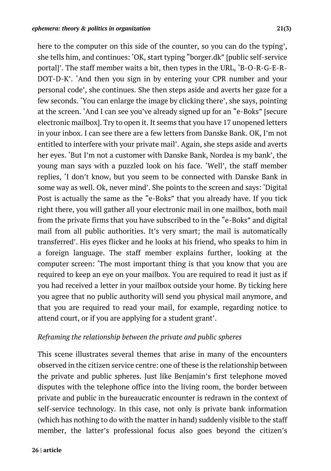she tells him, and continues: 'OK, start typing "borger.dk" [public self-service portal]'. The staff member waits a bit, then types in the URL, 'B-O-R-G-E-R-DOT-D-K'. 'And then you sign in by entering your CPR number and your personal code', she continues. She then steps aside and averts her gaze for a few seconds. 'You can enlarge the image by clicking there', she says, pointing at the screen. 'And I can see you've already signed up for an "e-Boks" [secure electronic mailbox]. Try to open it. It seems that you have 17 unopened letters in your inbox. I can see there are a few letters from Danske Bank. OK, I'm not entitled to interfere with your private mail'. Again, she steps aside and averts her eyes. 'But I'm not a customer with Danske Bank, Nordea is my bank', the young man says with a puzzled look on his face. 'Well', the staff member replies, 'I don't know, but you seem to be connected with Danske Bank in some way as well. Ok, never mind'. She points to the screen and says: 'Digital Post is actually the same as the "e-Boks" that you already have. If you tick right there, you will gather all your electronic mail in one mailbox, both mail from the private firms that you have subscribed to in the "e-Boks" and digital mail from all public authorities. It's very smart; the mail is automatically transferred'. His eyes flicker and he looks at his friend, who speaks to him in a foreign language. The staff member explains further, looking at the computer screen: 'The most important thing is that you know that you are required to keep an eye on your mailbox. You are required to read it just as if you had received a letter in your mailbox outside your home. By ticking here you agree that no public authority will send you physical mail anymore, and that you are required to read your mail, for example, regarding notice to attend court, or if you are applying for a student grant'.

# *Reframing the relationship between the private and public spheres*

This scene illustrates several themes that arise in many of the encounters observed in the citizen service centre: one of these is the relationship between the private and public spheres. Just like Benjamin's first telephone moved disputes with the telephone office into the living room, the border between private and public in the bureaucratic encounter is redrawn in the context of self-service technology. In this case, not only is private bank information (which has nothing to do with the matter in hand) suddenly visible to the staff member, the latter's professional focus also goes beyond the citizen's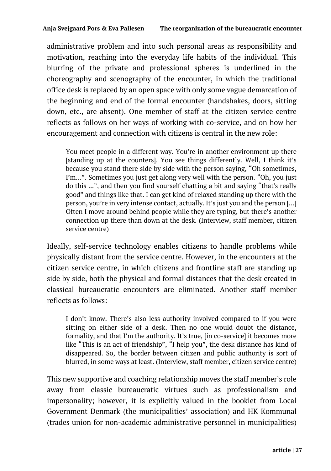administrative problem and into such personal areas as responsibility and motivation, reaching into the everyday life habits of the individual. This blurring of the private and professional spheres is underlined in the choreography and scenography of the encounter, in which the traditional office desk is replaced by an open space with only some vague demarcation of the beginning and end of the formal encounter (handshakes, doors, sitting down, etc., are absent). One member of staff at the citizen service centre reflects as follows on her ways of working with co-service, and on how her encouragement and connection with citizens is central in the new role:

You meet people in a different way. You're in another environment up there [standing up at the counters]. You see things differently. Well, I think it's because you stand there side by side with the person saying, "Oh sometimes, I'm…". Sometimes you just get along very well with the person. "Oh, you just do this ...", and then you find yourself chatting a bit and saying "that's really good" and things like that. I can get kind of relaxed standing up there with the person, you're in very intense contact, actually. It's just you and the person […] Often I move around behind people while they are typing, but there's another connection up there than down at the desk. (Interview, staff member, citizen service centre)

Ideally, self-service technology enables citizens to handle problems while physically distant from the service centre. However, in the encounters at the citizen service centre, in which citizens and frontline staff are standing up side by side, both the physical and formal distances that the desk created in classical bureaucratic encounters are eliminated. Another staff member reflects as follows:

I don't know. There's also less authority involved compared to if you were sitting on either side of a desk. Then no one would doubt the distance, formality, and that I'm the authority. It's true, [in co-service] it becomes more like "This is an act of friendship", "I help you", the desk distance has kind of disappeared. So, the border between citizen and public authority is sort of blurred, in some ways at least. (Interview, staff member, citizen service centre)

This new supportive and coaching relationship moves the staff member's role away from classic bureaucratic virtues such as professionalism and impersonality; however, it is explicitly valued in the booklet from Local Government Denmark (the municipalities' association) and HK Kommunal (trades union for non-academic administrative personnel in municipalities)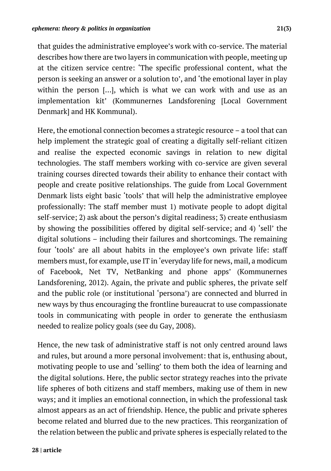that guides the administrative employee's work with co-service. The material describes how there are two layers in communication with people, meeting up at the citizen service centre: 'The specific professional content, what the person is seeking an answer or a solution to', and 'the emotional layer in play within the person […], which is what we can work with and use as an implementation kit' (Kommunernes Landsforening [Local Government Denmark] and HK Kommunal).

Here, the emotional connection becomes a strategic resource – a tool that can help implement the strategic goal of creating a digitally self-reliant citizen and realise the expected economic savings in relation to new digital technologies. The staff members working with co-service are given several training courses directed towards their ability to enhance their contact with people and create positive relationships. The guide from Local Government Denmark lists eight basic 'tools' that will help the administrative employee professionally: The staff member must 1) motivate people to adopt digital self-service; 2) ask about the person's digital readiness; 3) create enthusiasm by showing the possibilities offered by digital self-service; and 4) 'sell' the digital solutions – including their failures and shortcomings. The remaining four 'tools' are all about habits in the employee's own private life: staff members must, for example, use IT in 'everyday life for news, mail, a modicum of Facebook, Net TV, NetBanking and phone apps' (Kommunernes Landsforening, 2012). Again, the private and public spheres, the private self and the public role (or institutional 'persona') are connected and blurred in new ways by thus encouraging the frontline bureaucrat to use compassionate tools in communicating with people in order to generate the enthusiasm needed to realize policy goals (see du Gay, 2008).

Hence, the new task of administrative staff is not only centred around laws and rules, but around a more personal involvement: that is, enthusing about, motivating people to use and 'selling' to them both the idea of learning and the digital solutions. Here, the public sector strategy reaches into the private life spheres of both citizens and staff members, making use of them in new ways; and it implies an emotional connection, in which the professional task almost appears as an act of friendship. Hence, the public and private spheres become related and blurred due to the new practices. This reorganization of the relation between the public and private spheres is especially related to the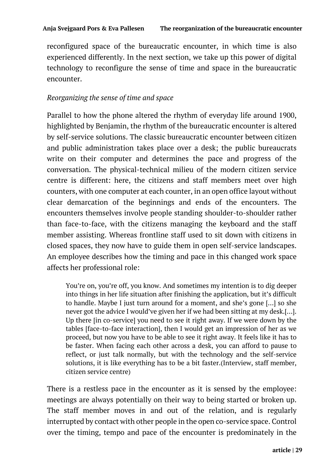reconfigured space of the bureaucratic encounter, in which time is also experienced differently. In the next section, we take up this power of digital technology to reconfigure the sense of time and space in the bureaucratic encounter.

#### *Reorganizing the sense of time and space*

Parallel to how the phone altered the rhythm of everyday life around 1900, highlighted by Benjamin, the rhythm of the bureaucratic encounter is altered by self-service solutions. The classic bureaucratic encounter between citizen and public administration takes place over a desk; the public bureaucrats write on their computer and determines the pace and progress of the conversation. The physical-technical milieu of the modern citizen service centre is different: here, the citizens and staff members meet over high counters, with one computer at each counter, in an open office layout without clear demarcation of the beginnings and ends of the encounters. The encounters themselves involve people standing shoulder-to-shoulder rather than face-to-face, with the citizens managing the keyboard and the staff member assisting. Whereas frontline staff used to sit down with citizens in closed spaces, they now have to guide them in open self-service landscapes. An employee describes how the timing and pace in this changed work space affects her professional role:

You're on, you're off, you know. And sometimes my intention is to dig deeper into things in her life situation after finishing the application, but it's difficult to handle. Maybe I just turn around for a moment, and she's gone […] so she never got the advice I would've given her if we had been sitting at my desk.[…]. Up there [in co-service] you need to see it right away. If we were down by the tables [face-to-face interaction], then I would get an impression of her as we proceed, but now you have to be able to see it right away. It feels like it has to be faster. When facing each other across a desk, you can afford to pause to reflect, or just talk normally, but with the technology and the self-service solutions, it is like everything has to be a bit faster.(Interview, staff member, citizen service centre)

There is a restless pace in the encounter as it is sensed by the employee: meetings are always potentially on their way to being started or broken up. The staff member moves in and out of the relation, and is regularly interrupted by contact with other people in the open co-service space. Control over the timing, tempo and pace of the encounter is predominately in the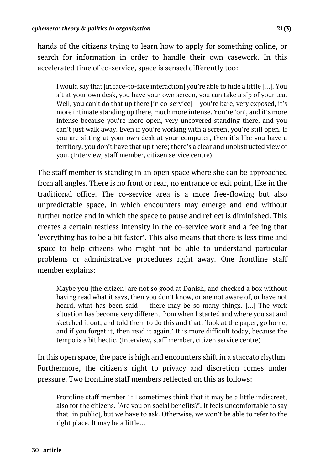hands of the citizens trying to learn how to apply for something online, or search for information in order to handle their own casework. In this accelerated time of co-service, space is sensed differently too:

I would say that [in face-to-face interaction] you're able to hide a little […]. You sit at your own desk, you have your own screen, you can take a sip of your tea. Well, you can't do that up there [in co-service] – you're bare, very exposed, it's more intimate standing up there, much more intense. You're 'on', and it's more intense because you're more open, very uncovered standing there, and you can't just walk away. Even if you're working with a screen, you're still open. If you are sitting at your own desk at your computer, then it's like you have a territory, you don't have that up there; there's a clear and unobstructed view of you. (Interview, staff member, citizen service centre)

The staff member is standing in an open space where she can be approached from all angles. There is no front or rear, no entrance or exit point, like in the traditional office. The co-service area is a more free-flowing but also unpredictable space, in which encounters may emerge and end without further notice and in which the space to pause and reflect is diminished. This creates a certain restless intensity in the co-service work and a feeling that 'everything has to be a bit faster'. This also means that there is less time and space to help citizens who might not be able to understand particular problems or administrative procedures right away. One frontline staff member explains:

Maybe you [the citizen] are not so good at Danish, and checked a box without having read what it says, then you don't know, or are not aware of, or have not heard, what has been said  $-$  there may be so many things. [...] The work situation has become very different from when I started and where you sat and sketched it out, and told them to do this and that: 'look at the paper, go home, and if you forget it, then read it again.' It is more difficult today, because the tempo is a bit hectic. (Interview, staff member, citizen service centre)

In this open space, the pace is high and encounters shift in a staccato rhythm. Furthermore, the citizen's right to privacy and discretion comes under pressure. Two frontline staff members reflected on this as follows:

Frontline staff member 1: I sometimes think that it may be a little indiscreet, also for the citizens. 'Are you on social benefits?'. It feels uncomfortable to say that [in public], but we have to ask. Otherwise, we won't be able to refer to the right place. It may be a little…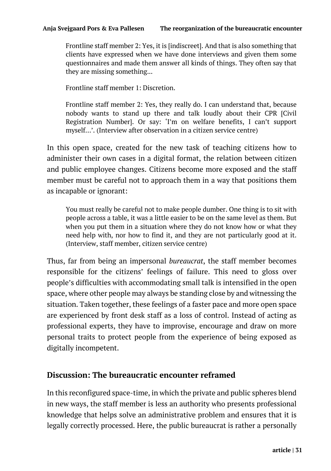Frontline staff member 2: Yes, it is [indiscreet]. And that is also something that clients have expressed when we have done interviews and given them some questionnaires and made them answer all kinds of things. They often say that they are missing something...

Frontline staff member 1: Discretion.

Frontline staff member 2: Yes, they really do. I can understand that, because nobody wants to stand up there and talk loudly about their CPR [Civil Registration Number]. Or say: 'I'm on welfare benefits, I can't support myself…'. (Interview after observation in a citizen service centre)

In this open space, created for the new task of teaching citizens how to administer their own cases in a digital format, the relation between citizen and public employee changes. Citizens become more exposed and the staff member must be careful not to approach them in a way that positions them as incapable or ignorant:

You must really be careful not to make people dumber. One thing is to sit with people across a table, it was a little easier to be on the same level as them. But when you put them in a situation where they do not know how or what they need help with, nor how to find it, and they are not particularly good at it. (Interview, staff member, citizen service centre)

Thus, far from being an impersonal *bureaucrat*, the staff member becomes responsible for the citizens' feelings of failure. This need to gloss over people's difficulties with accommodating small talk is intensified in the open space, where other people may always be standing close by and witnessing the situation. Taken together, these feelings of a faster pace and more open space are experienced by front desk staff as a loss of control. Instead of acting as professional experts, they have to improvise, encourage and draw on more personal traits to protect people from the experience of being exposed as digitally incompetent.

## **Discussion: The bureaucratic encounter reframed**

In this reconfigured space-time, in which the private and public spheres blend in new ways, the staff member is less an authority who presents professional knowledge that helps solve an administrative problem and ensures that it is legally correctly processed. Here, the public bureaucrat is rather a personally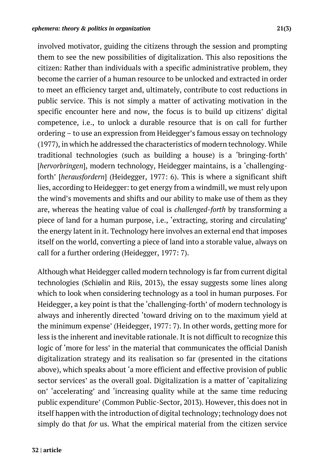involved motivator, guiding the citizens through the session and prompting them to see the new possibilities of digitalization. This also repositions the citizen: Rather than individuals with a specific administrative problem, they become the carrier of a human resource to be unlocked and extracted in order to meet an efficiency target and, ultimately, contribute to cost reductions in public service. This is not simply a matter of activating motivation in the specific encounter here and now, the focus is to build up citizens' digital competence, i.e., to unlock a durable resource that is on call for further ordering – to use an expression from Heidegger's famous essay on technology (1977), in which he addressed the characteristics of modern technology. While traditional technologies (such as building a house) is a 'bringing-forth' [*hervorbringen*], modern technology, Heidegger maintains, is a 'challengingforth' [*herausfordern*] (Heidegger, 1977: 6). This is where a significant shift lies, according to Heidegger: to get energy from a windmill, we must rely upon the wind's movements and shifts and our ability to make use of them as they are, whereas the heating value of coal is *challenged-forth* by transforming a piece of land for a human purpose, i.e., 'extracting, storing and circulating' the energy latent in it. Technology here involves an external end that imposes itself on the world, converting a piece of land into a storable value, always on call for a further ordering (Heidegger, 1977: 7).

Although what Heidegger called modern technology is far from current digital technologies (Schiølin and Riis, 2013), the essay suggests some lines along which to look when considering technology as a tool in human purposes. For Heidegger, a key point is that the 'challenging-forth' of modern technology is always and inherently directed 'toward driving on to the maximum yield at the minimum expense' (Heidegger, 1977: 7). In other words, getting more for less is the inherent and inevitable rationale. It is not difficult to recognize this logic of 'more for less' in the material that communicates the official Danish digitalization strategy and its realisation so far (presented in the citations above), which speaks about 'a more efficient and effective provision of public sector services' as the overall goal. Digitalization is a matter of 'capitalizing on' 'accelerating' and 'increasing quality while at the same time reducing public expenditure' (Common Public-Sector, 2013). However, this does not in itself happen with the introduction of digital technology; technology does not simply do that *for* us. What the empirical material from the citizen service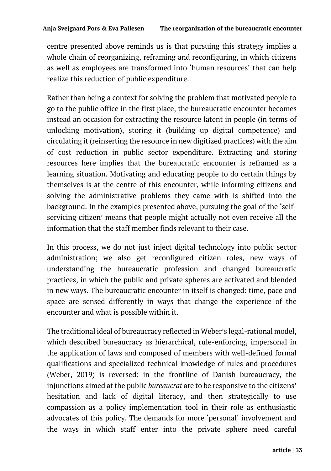centre presented above reminds us is that pursuing this strategy implies a whole chain of reorganizing, reframing and reconfiguring, in which citizens as well as employees are transformed into 'human resources' that can help realize this reduction of public expenditure.

Rather than being a context for solving the problem that motivated people to go to the public office in the first place, the bureaucratic encounter becomes instead an occasion for extracting the resource latent in people (in terms of unlocking motivation), storing it (building up digital competence) and circulating it (reinserting the resource in new digitized practices) with the aim of cost reduction in public sector expenditure. Extracting and storing resources here implies that the bureaucratic encounter is reframed as a learning situation. Motivating and educating people to do certain things by themselves is at the centre of this encounter, while informing citizens and solving the administrative problems they came with is shifted into the background. In the examples presented above, pursuing the goal of the 'selfservicing citizen' means that people might actually not even receive all the information that the staff member finds relevant to their case.

In this process, we do not just inject digital technology into public sector administration; we also get reconfigured citizen roles, new ways of understanding the bureaucratic profession and changed bureaucratic practices, in which the public and private spheres are activated and blended in new ways. The bureaucratic encounter in itself is changed: time, pace and space are sensed differently in ways that change the experience of the encounter and what is possible within it.

The traditional ideal of bureaucracy reflected in Weber's legal-rational model, which described bureaucracy as hierarchical, rule-enforcing, impersonal in the application of laws and composed of members with well-defined formal qualifications and specialized technical knowledge of rules and procedures (Weber, 2019) is reversed: in the frontline of Danish bureaucracy, the injunctions aimed at the public *bureaucrat* are to be responsive to the citizens' hesitation and lack of digital literacy, and then strategically to use compassion as a policy implementation tool in their role as enthusiastic advocates of this policy. The demands for more 'personal' involvement and the ways in which staff enter into the private sphere need careful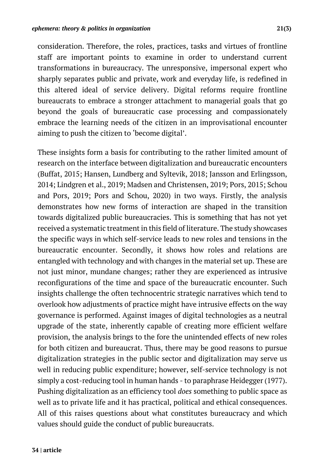consideration. Therefore, the roles, practices, tasks and virtues of frontline staff are important points to examine in order to understand current transformations in bureaucracy. The unresponsive, impersonal expert who sharply separates public and private, work and everyday life, is redefined in this altered ideal of service delivery. Digital reforms require frontline bureaucrats to embrace a stronger attachment to managerial goals that go beyond the goals of bureaucratic case processing and compassionately embrace the learning needs of the citizen in an improvisational encounter aiming to push the citizen to 'become digital'.

These insights form a basis for contributing to the rather limited amount of research on the interface between digitalization and bureaucratic encounters (Buffat, 2015; Hansen, Lundberg and Syltevik, 2018; Jansson and Erlingsson, 2014; Lindgren et al., 2019; Madsen and Christensen, 2019; Pors, 2015; Schou and Pors, 2019; Pors and Schou, 2020) in two ways. Firstly, the analysis demonstrates how new forms of interaction are shaped in the transition towards digitalized public bureaucracies. This is something that has not yet received a systematic treatment in this field of literature. The study showcases the specific ways in which self-service leads to new roles and tensions in the bureaucratic encounter. Secondly, it shows how roles and relations are entangled with technology and with changes in the material set up. These are not just minor, mundane changes; rather they are experienced as intrusive reconfigurations of the time and space of the bureaucratic encounter. Such insights challenge the often technocentric strategic narratives which tend to overlook how adjustments of practice might have intrusive effects on the way governance is performed. Against images of digital technologies as a neutral upgrade of the state, inherently capable of creating more efficient welfare provision, the analysis brings to the fore the unintended effects of new roles for both citizen and bureaucrat. Thus, there may be good reasons to pursue digitalization strategies in the public sector and digitalization may serve us well in reducing public expenditure; however, self-service technology is not simply a cost-reducing tool in human hands - to paraphrase Heidegger (1977). Pushing digitalization as an efficiency tool *does* something to public space as well as to private life and it has practical, political and ethical consequences. All of this raises questions about what constitutes bureaucracy and which values should guide the conduct of public bureaucrats.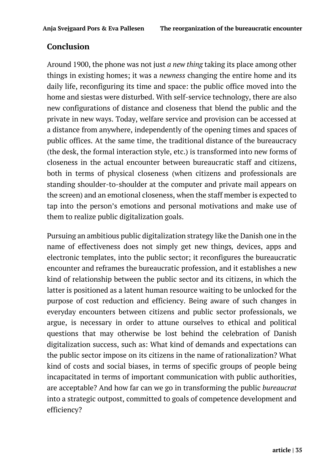# **Conclusion**

Around 1900, the phone was not just *a new thing* taking its place among other things in existing homes; it was a *newness* changing the entire home and its daily life, reconfiguring its time and space: the public office moved into the home and siestas were disturbed. With self-service technology, there are also new configurations of distance and closeness that blend the public and the private in new ways. Today, welfare service and provision can be accessed at a distance from anywhere, independently of the opening times and spaces of public offices. At the same time, the traditional distance of the bureaucracy (the desk, the formal interaction style, etc.) is transformed into new forms of closeness in the actual encounter between bureaucratic staff and citizens, both in terms of physical closeness (when citizens and professionals are standing shoulder-to-shoulder at the computer and private mail appears on the screen) and an emotional closeness, when the staff member is expected to tap into the person's emotions and personal motivations and make use of them to realize public digitalization goals.

Pursuing an ambitious public digitalization strategy like the Danish one in the name of effectiveness does not simply get new things*,* devices, apps and electronic templates, into the public sector; it reconfigures the bureaucratic encounter and reframes the bureaucratic profession, and it establishes a new kind of relationship between the public sector and its citizens, in which the latter is positioned as a latent human resource waiting to be unlocked for the purpose of cost reduction and efficiency. Being aware of such changes in everyday encounters between citizens and public sector professionals, we argue, is necessary in order to attune ourselves to ethical and political questions that may otherwise be lost behind the celebration of Danish digitalization success, such as: What kind of demands and expectations can the public sector impose on its citizens in the name of rationalization? What kind of costs and social biases, in terms of specific groups of people being incapacitated in terms of important communication with public authorities, are acceptable? And how far can we go in transforming the public *bureaucrat* into a strategic outpost, committed to goals of competence development and efficiency?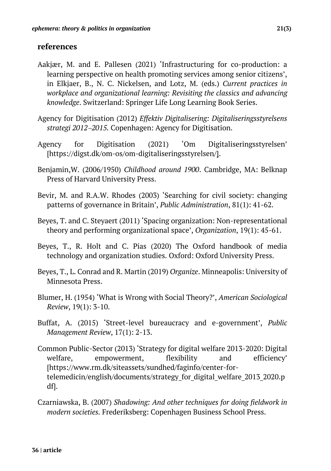## **references**

- Aakjær, M. and E. Pallesen (2021) 'Infrastructuring for co-production: a learning perspective on health promoting services among senior citizens', in Elkjaer, B., N. C. Nickelsen, and Lotz, M. (eds.) *Current practices in workplace and organizational learning: Revisiting the classics and advancing knowledge*. Switzerland: Springer Life Long Learning Book Series.
- Agency for Digitisation (2012) *Effektiv Digitalisering: Digitaliseringsstyrelsens strategi 2012*-*2015.* Copenhagen: Agency for Digitisation.
- Agency for Digitisation (2021) 'Om Digitaliseringsstyrelsen' [https://digst.dk/om-os/om-digitaliseringsstyrelsen/].
- Benjamin,W. (2006/1950) *Childhood around 1900*. Cambridge, MA: Belknap Press of Harvard University Press.
- Bevir, M. and R.A.W. Rhodes (2003) 'Searching for civil society: changing patterns of governance in Britain', *Public Administration*, 81(1): 41-62.
- Beyes, T. and C. Steyaert (2011) 'Spacing organization: Non-representational theory and performing organizational space', *Organization*, 19(1): 45-61.
- Beyes, T., R. Holt and C. Pias (2020) The Oxford handbook of media technology and organization studies. Oxford: Oxford University Press.
- Beyes, T., L. Conrad and R. Martin (2019) *Organize*. Minneapolis: University of Minnesota Press.
- Blumer, H. (1954) 'What is Wrong with Social Theory?', *American Sociological Review*, 19(1): 3-10.
- Buffat, A. (2015) 'Street-level bureaucracy and e-government', *Public Management Review*, 17(1): 2-13.
- Common Public-Sector (2013) 'Strategy for digital welfare 2013-2020: Digital welfare, empowerment, flexibility and efficiency' [https://www.rm.dk/siteassets/sundhed/faginfo/center-fortelemedicin/english/documents/strategy\_for\_digital\_welfare\_2013\_2020.p df].
- Czarniawska, B. (2007) *Shadowing: And other techniques for doing fieldwork in modern societies.* Frederiksberg: Copenhagen Business School Press.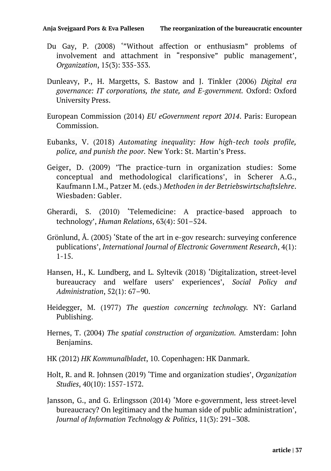- Du Gay, P. (2008) '"Without affection or enthusiasm" problems of involvement and attachment in "responsive" public management', *Organization*, 15(3): 335-353.
- Dunleavy, P., H. Margetts, S. Bastow and J. Tinkler (2006) *Digital era governance: IT corporations, the state, and E-government.* Oxford: Oxford University Press.
- European Commission (2014) *EU eGovernment report 2014*. Paris: European Commission.
- Eubanks, V. (2018) *Automating inequality: How high-tech tools profile, police, and punish the poor.* New York: St. Martin's Press.
- Geiger, D. (2009) 'The practice-turn in organization studies: Some conceptual and methodological clarifications', in Scherer A.G., Kaufmann I.M., Patzer M. (eds.) *Methoden in der Betriebswirtschaftslehre*. Wiesbaden: Gabler.
- Gherardi, S. (2010) 'Telemedicine: A practice-based approach to technology', *Human Relations*, 63(4): 501–524.
- Grönlund, Å. (2005) 'State of the art in e-gov research: surveying conference publications', *International Journal of Electronic Government Research*, 4(1):  $1 - 15$ .
- Hansen, H., K. Lundberg, and L. Syltevik (2018) 'Digitalization, street-level bureaucracy and welfare users' experiences', *Social Policy and Administration*, 52(1): 67–90.
- Heidegger, M. (1977) *The question concerning technology.* NY: Garland Publishing.
- Hernes, T. (2004) *The spatial construction of organization.* Amsterdam: John Benjamins.
- HK (2012) *HK Kommunalbladet*, 10. Copenhagen: HK Danmark.
- Holt, R. and R. Johnsen (2019) 'Time and organization studies', *Organization Studies*, 40(10): 1557-1572.
- Jansson, G., and G. Erlingsson (2014) 'More e-government, less street-level bureaucracy? On legitimacy and the human side of public administration', *Journal of Information Technology & Politics*, 11(3): 291–308.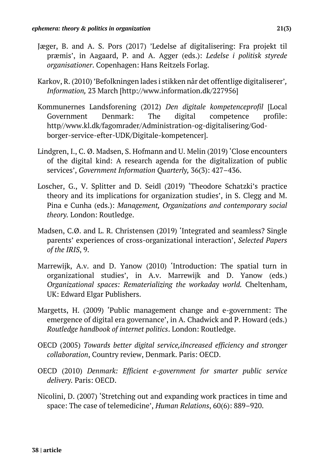- Jæger, B. and A. S. Pors (2017) 'Ledelse af digitalisering: Fra projekt til præmis', in Aagaard, P. and A. Agger (eds.): *Ledelse i politisk styrede organisationer*. Copenhagen: Hans Reitzels Forlag.
- Karkov, R. (2010) 'Befolkningen lades i stikken når det offentlige digitaliserer'*, Information,* 23 March [http://www.information.dk/227956]
- Kommunernes Landsforening (2012) *Den digitale kompetenceprofil* [Local Government Denmark: The digital competence profile: http//www.kl.dk/fagomrader/Administration-og-digitalisering/Godborger-service-efter-UDK/Digitale-kompetencer].
- Lindgren, I., C. Ø. Madsen, S. Hofmann and U. Melin (2019) 'Close encounters of the digital kind: A research agenda for the digitalization of public services', *Government Information Quarterly,* 36(3): 427–436.
- Loscher, G., V. Splitter and D. Seidl (2019) 'Theodore Schatzki's practice theory and its implications for organization studies', in S. Clegg and M. Pina e Cunha (eds.): *Management, Organizations and contemporary social theory.* London: Routledge.
- Madsen, C.Ø. and L. R. Christensen (2019) 'Integrated and seamless? Single parents' experiences of cross-organizational interaction', *Selected Papers of the IRIS*, 9.
- Marrewijk, A.v. and D. Yanow (2010) 'Introduction: The spatial turn in organizational studies', in A.v. Marrewijk and D. Yanow (eds.) *Organizational spaces: Rematerializing the workaday world.* Cheltenham, UK: Edward Elgar Publishers.
- Margetts, H. (2009) 'Public management change and e-government: The emergence of digital era governance', in A. Chadwick and P. Howard (eds.) *Routledge handbook of internet politics*. London: Routledge.
- OECD (2005) *Towards better digital service,iIncreased efficiency and stronger collaboration*, Country review, Denmark. Paris: OECD.
- OECD (2010) *Denmark: Efficient e-government for smarter public service delivery.* Paris: OECD.
- Nicolini, D. (2007) 'Stretching out and expanding work practices in time and space: The case of telemedicine', *Human Relations*, 60(6): 889–920.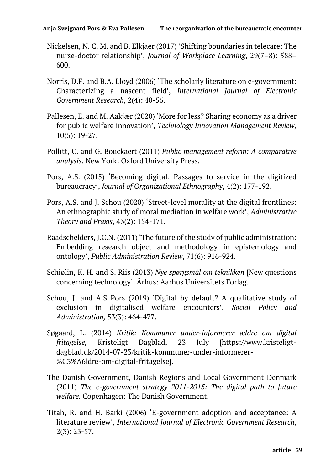- Nickelsen, N. C. M. and B. Elkjaer (2017) 'Shifting boundaries in telecare: The nurse-doctor relationship', *Journal of Workplace Learning*, 29(7–8): 588– 600.
- Norris, D.F. and B.A. Lloyd (2006) 'The scholarly literature on e-government: Characterizing a nascent field', *International Journal of Electronic Government Research,* 2(4): 40-56.
- Pallesen, E. and M. Aakjær (2020) 'More for less? Sharing economy as a driver for public welfare innovation', *Technology Innovation Management Review,*  10(5): 19-27.
- Pollitt, C. and G. Bouckaert (2011) *Public management reform: A comparative analysis*. New York: Oxford University Press.
- Pors, A.S. (2015) 'Becoming digital: Passages to service in the digitized bureaucracy', *Journal of Organizational Ethnography*, 4(2): 177-192.
- Pors, A.S. and J. Schou (2020) 'Street-level morality at the digital frontlines: An ethnographic study of moral mediation in welfare work', *Administrative Theory and Praxis*, 43(2): 154-171.
- Raadschelders, J.C.N. (2011) 'The future of the study of public administration: Embedding research object and methodology in epistemology and ontology', *Public Administration Review*, 71(6): 916-924.
- Schiølin, K. H. and S. Riis (2013) *Nye spørgsmål om teknikken* [New questions concerning technology]. Århus: Aarhus Universitets Forlag.
- Schou, J. and A.S Pors (2019) 'Digital by default? A qualitative study of exclusion in digitalised welfare encounters', *Social Policy and Administration,* 53(3): 464-477.
- Søgaard, L. (2014) *Kritik: Kommuner under-informerer ældre om digital fritagelse,* Kristeligt Dagblad, 23 July [https://www.kristeligtdagblad.dk/2014-07-23/kritik-kommuner-under-informerer- %C3%A6ldre-om-digital-fritagelse].
- The Danish Government, Danish Regions and Local Government Denmark (2011) *The e-government strategy 2011-2015: The digital path to future welfare.* Copenhagen: The Danish Government.
- Titah, R. and H. Barki (2006) 'E-government adoption and acceptance: A literature review', *International Journal of Electronic Government Research*, 2(3): 23-57.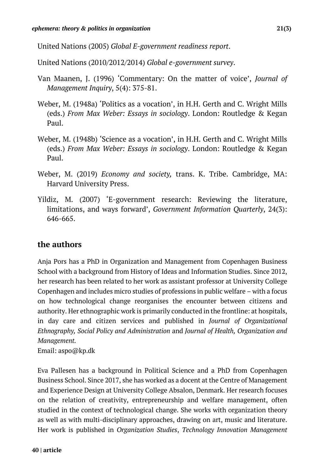United Nations (2005) *Global E-government readiness report*.

United Nations (2010/2012/2014) *Global e-government survey*.

- Van Maanen, J. (1996) 'Commentary: On the matter of voice', *Journal of Management Inquiry*, 5(4): 375-81.
- Weber, M. (1948a) 'Politics as a vocation', in H.H. Gerth and C. Wright Mills (eds.) *From Max Weber: Essays in sociology*. London: Routledge & Kegan Paul.
- Weber, M. (1948b) 'Science as a vocation', in H.H. Gerth and C. Wright Mills (eds.) *From Max Weber: Essays in sociology*. London: Routledge & Kegan Paul.
- Weber, M. (2019) *Economy and society,* trans. K. Tribe. Cambridge, MA: Harvard University Press.
- Yildiz, M. (2007) 'E-government research: Reviewing the literature, limitations, and ways forward', *Government Information Quarterly*, 24(3): 646-665.

## **the authors**

Anja Pors has a PhD in Organization and Management from Copenhagen Business School with a background from History of Ideas and Information Studies. Since 2012, her research has been related to her work as assistant professor at University College Copenhagen and includes micro studies of professions in public welfare – with a focus on how technological change reorganises the encounter between citizens and authority. Her ethnographic work is primarily conducted in the frontline: at hospitals, in day care and citizen services and published in *Journal of Organizational Ethnography, Social Policy and Administration* and *Journal of Health, Organization and Management.*

Email: aspo@kp.dk

Eva Pallesen has a background in Political Science and a PhD from Copenhagen Business School. Since 2017, she has worked as a docent at the Centre of Management and Experience Design at University College Absalon, Denmark. Her research focuses on the relation of creativity, entrepreneurship and welfare management, often studied in the context of technological change. She works with organization theory as well as with multi-disciplinary approaches, drawing on art, music and literature. Her work is published in *Organization Studies*, *Technology Innovation Management*